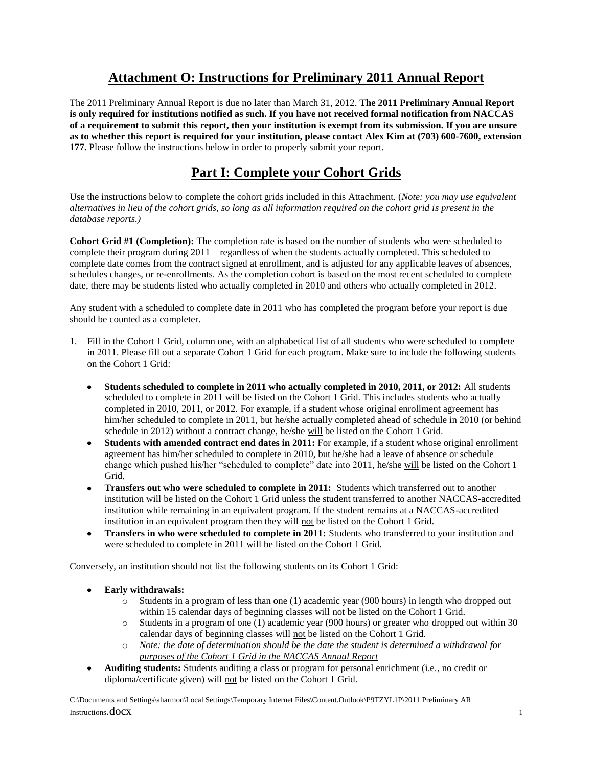### **Attachment O: Instructions for Preliminary 2011 Annual Report**

The 2011 Preliminary Annual Report is due no later than March 31, 2012. **The 2011 Preliminary Annual Report is only required for institutions notified as such. If you have not received formal notification from NACCAS of a requirement to submit this report, then your institution is exempt from its submission. If you are unsure as to whether this report is required for your institution, please contact Alex Kim at (703) 600-7600, extension 177.** Please follow the instructions below in order to properly submit your report.

### **Part I: Complete your Cohort Grids**

Use the instructions below to complete the cohort grids included in this Attachment. (*Note: you may use equivalent alternatives in lieu of the cohort grids, so long as all information required on the cohort grid is present in the database reports.)*

**Cohort Grid #1 (Completion):** The completion rate is based on the number of students who were scheduled to complete their program during 2011 – regardless of when the students actually completed. This scheduled to complete date comes from the contract signed at enrollment, and is adjusted for any applicable leaves of absences, schedules changes, or re-enrollments. As the completion cohort is based on the most recent scheduled to complete date, there may be students listed who actually completed in 2010 and others who actually completed in 2012.

Any student with a scheduled to complete date in 2011 who has completed the program before your report is due should be counted as a completer.

- 1. Fill in the Cohort 1 Grid, column one, with an alphabetical list of all students who were scheduled to complete in 2011. Please fill out a separate Cohort 1 Grid for each program. Make sure to include the following students on the Cohort 1 Grid:
	- **Students scheduled to complete in 2011 who actually completed in 2010, 2011, or 2012:** All students scheduled to complete in 2011 will be listed on the Cohort 1 Grid. This includes students who actually completed in 2010, 2011, or 2012. For example, if a student whose original enrollment agreement has him/her scheduled to complete in 2011, but he/she actually completed ahead of schedule in 2010 (or behind schedule in 2012) without a contract change, he/she will be listed on the Cohort 1 Grid.
	- **Students with amended contract end dates in 2011:** For example, if a student whose original enrollment agreement has him/her scheduled to complete in 2010, but he/she had a leave of absence or schedule change which pushed his/her "scheduled to complete" date into 2011, he/she will be listed on the Cohort 1 Grid.
	- **Transfers out who were scheduled to complete in 2011:** Students which transferred out to another institution will be listed on the Cohort 1 Grid unless the student transferred to another NACCAS-accredited institution while remaining in an equivalent program. If the student remains at a NACCAS-accredited institution in an equivalent program then they will not be listed on the Cohort 1 Grid.
	- **Transfers in who were scheduled to complete in 2011:** Students who transferred to your institution and were scheduled to complete in 2011 will be listed on the Cohort 1 Grid.

Conversely, an institution should not list the following students on its Cohort 1 Grid:

- **Early withdrawals:** 
	- o Students in a program of less than one (1) academic year (900 hours) in length who dropped out within 15 calendar days of beginning classes will not be listed on the Cohort 1 Grid.
	- $\circ$  Students in a program of one (1) academic year (900 hours) or greater who dropped out within 30 calendar days of beginning classes will not be listed on the Cohort 1 Grid.
	- o *Note: the date of determination should be the date the student is determined a withdrawal for purposes of the Cohort 1 Grid in the NACCAS Annual Report*
- **Auditing students:** Students auditing a class or program for personal enrichment (i.e., no credit or diploma/certificate given) will not be listed on the Cohort 1 Grid.

C:\Documents and Settings\aharmon\Local Settings\Temporary Internet Files\Content.Outlook\P9TZYL1P\2011 Preliminary AR Instructions. **doc**X 1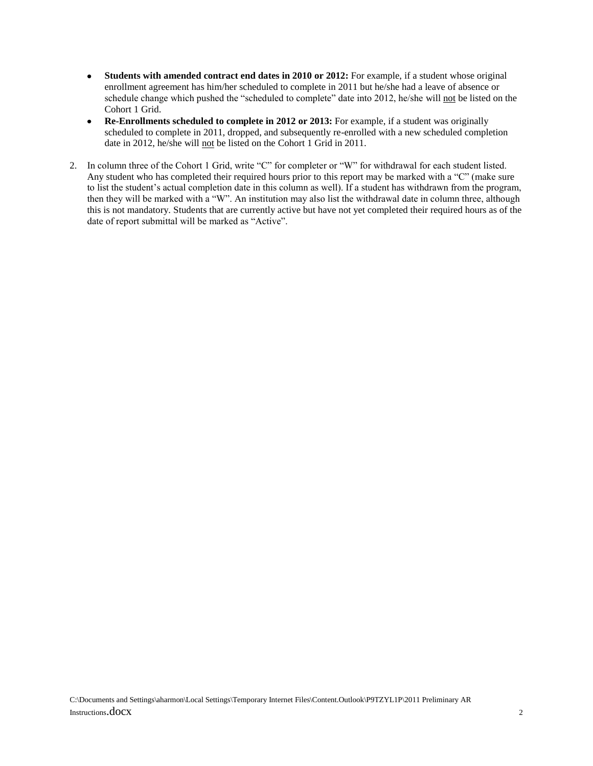- **Students with amended contract end dates in 2010 or 2012:** For example, if a student whose original  $\bullet$ enrollment agreement has him/her scheduled to complete in 2011 but he/she had a leave of absence or schedule change which pushed the "scheduled to complete" date into 2012, he/she will not be listed on the Cohort 1 Grid.
- **Re-Enrollments scheduled to complete in 2012 or 2013:** For example, if a student was originally  $\bullet$ scheduled to complete in 2011, dropped, and subsequently re-enrolled with a new scheduled completion date in 2012, he/she will not be listed on the Cohort 1 Grid in 2011.
- 2. In column three of the Cohort 1 Grid, write "C" for completer or "W" for withdrawal for each student listed. Any student who has completed their required hours prior to this report may be marked with a "C" (make sure to list the student's actual completion date in this column as well). If a student has withdrawn from the program, then they will be marked with a "W". An institution may also list the withdrawal date in column three, although this is not mandatory. Students that are currently active but have not yet completed their required hours as of the date of report submittal will be marked as "Active".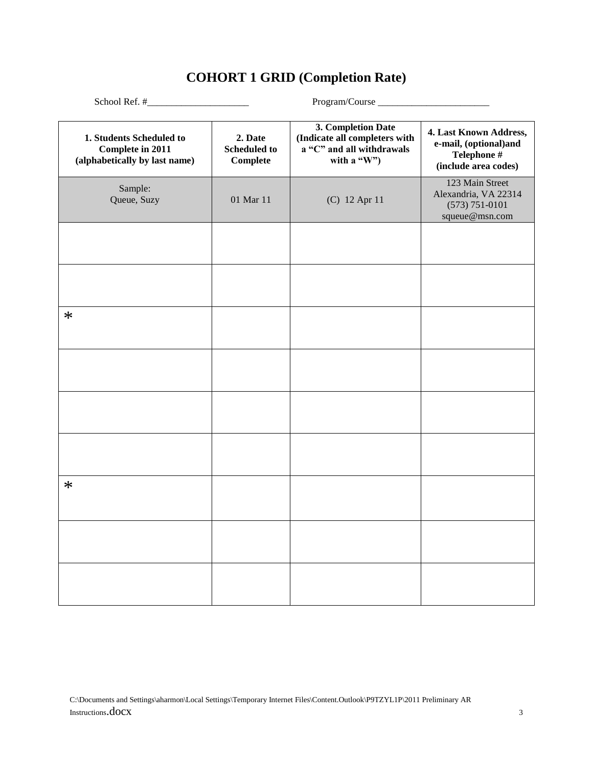# **COHORT 1 GRID (Completion Rate)**

| 1. Students Scheduled to<br>Complete in 2011<br>(alphabetically by last name) | 2. Date<br><b>Scheduled to</b><br>Complete | 3. Completion Date<br>(Indicate all completers with<br>a "C" and all withdrawals<br>with a "W") | 4. Last Known Address,<br>e-mail, (optional)and<br>Telephone #<br>(include area codes) |
|-------------------------------------------------------------------------------|--------------------------------------------|-------------------------------------------------------------------------------------------------|----------------------------------------------------------------------------------------|
| Sample:<br>Queue, Suzy                                                        | 01 Mar 11                                  | (C) 12 Apr 11                                                                                   | 123 Main Street<br>Alexandria, VA 22314<br>$(573) 751 - 0101$<br>squeue@msn.com        |
|                                                                               |                                            |                                                                                                 |                                                                                        |
|                                                                               |                                            |                                                                                                 |                                                                                        |
| $\ast$                                                                        |                                            |                                                                                                 |                                                                                        |
|                                                                               |                                            |                                                                                                 |                                                                                        |
|                                                                               |                                            |                                                                                                 |                                                                                        |
|                                                                               |                                            |                                                                                                 |                                                                                        |
| $\ast$                                                                        |                                            |                                                                                                 |                                                                                        |
|                                                                               |                                            |                                                                                                 |                                                                                        |
|                                                                               |                                            |                                                                                                 |                                                                                        |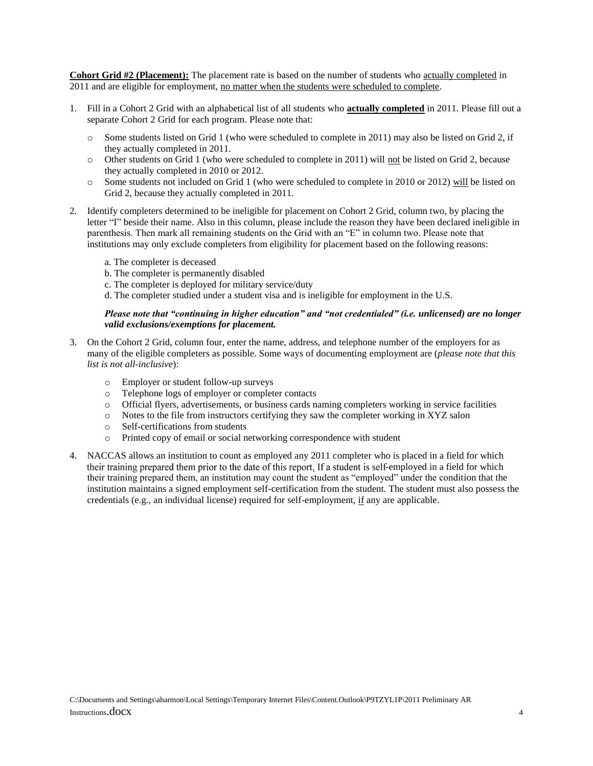**Cohort Grid #2 (Placement):** The placement rate is based on the number of students who actually completed in 2011 and are eligible for employment, no matter when the students were scheduled to complete.

- 1. Fill in a Cohort 2 Grid with an alphabetical list of all students who **actually completed** in 2011. Please fill out a separate Cohort 2 Grid for each program. Please note that:
	- o Some students listed on Grid 1 (who were scheduled to complete in 2011) may also be listed on Grid 2, if they actually completed in 2011.
	- o Other students on Grid 1 (who were scheduled to complete in 2011) will not be listed on Grid 2, because they actually completed in 2010 or 2012.
	- o Some students not included on Grid 1 (who were scheduled to complete in 2010 or 2012) will be listed on Grid 2, because they actually completed in 2011.
- 2. Identify completers determined to be ineligible for placement on Cohort 2 Grid, column two, by placing the letter "I" beside their name. Also in this column, please include the reason they have been declared ineligible in parenthesis. Then mark all remaining students on the Grid with an "E" in column two. Please note that institutions may only exclude completers from eligibility for placement based on the following reasons:
	- a. The completer is deceased
	- b. The completer is permanently disabled
	- c. The completer is deployed for military service/duty
	- d. The completer studied under a student visa and is ineligible for employment in the U.S.

#### *Please note that "continuing in higher education" and "not credentialed" (i.e. unlicensed) are no longer valid exclusions/exemptions for placement.*

- 3. On the Cohort 2 Grid, column four, enter the name, address, and telephone number of the employers for as many of the eligible completers as possible. Some ways of documenting employment are (*please note that this list is not all-inclusive*):
	- o Employer or student follow-up surveys
	- o Telephone logs of employer or completer contacts
	- o Official flyers, advertisements, or business cards naming completers working in service facilities
	- o Notes to the file from instructors certifying they saw the completer working in XYZ salon
	- o Self-certifications from students
	- o Printed copy of email or social networking correspondence with student
- 4. NACCAS allows an institution to count as employed any 2011 completer who is placed in a field for which their training prepared them prior to the date of this report. If a student is self-employed in a field for which their training prepared them, an institution may count the student as "employed" under the condition that the institution maintains a signed employment self-certification from the student. The student must also possess the credentials (e.g., an individual license) required for self-employment, if any are applicable.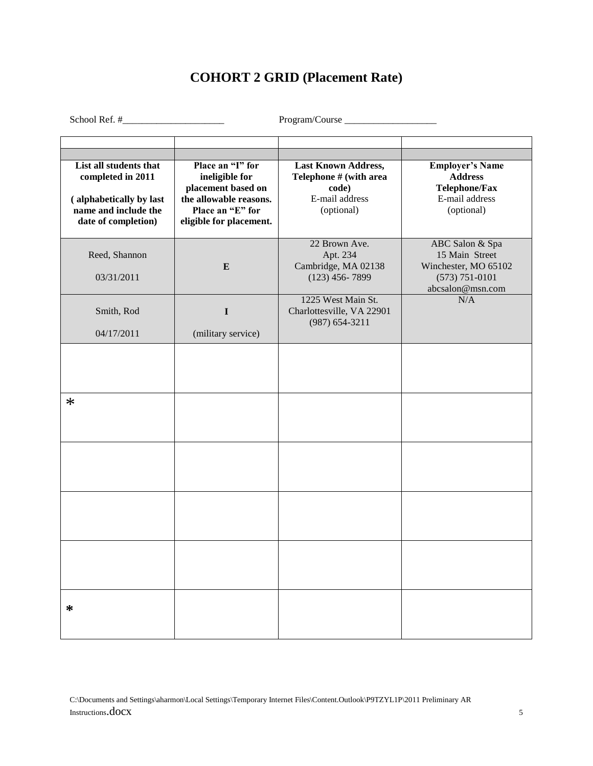# **COHORT 2 GRID (Placement Rate)**

School Ref. #\_\_\_\_\_\_\_\_\_\_\_\_\_\_\_\_\_\_\_\_\_ Program/Course \_\_\_\_\_\_\_\_\_\_\_\_\_\_\_\_\_\_\_

| List all students that<br>completed in 2011<br>(alphabetically by last<br>name and include the<br>date of completion) | Place an "I" for<br>ineligible for<br>placement based on<br>the allowable reasons.<br>Place an "E" for<br>eligible for placement. | Last Known Address,<br>Telephone # (with area<br>code)<br>E-mail address<br>(optional) | <b>Employer's Name</b><br><b>Address</b><br><b>Telephone/Fax</b><br>E-mail address<br>(optional)    |
|-----------------------------------------------------------------------------------------------------------------------|-----------------------------------------------------------------------------------------------------------------------------------|----------------------------------------------------------------------------------------|-----------------------------------------------------------------------------------------------------|
| Reed, Shannon<br>03/31/2011                                                                                           | $\bf{E}$                                                                                                                          | 22 Brown Ave.<br>Apt. 234<br>Cambridge, MA 02138<br>$(123)$ 456-7899                   | ABC Salon & Spa<br>15 Main Street<br>Winchester, MO 65102<br>$(573) 751 - 0101$<br>abcsalon@msn.com |
| Smith, Rod<br>04/17/2011                                                                                              | $\mathbf I$<br>(military service)                                                                                                 | 1225 West Main St.<br>Charlottesville, VA 22901<br>$(987) 654 - 3211$                  | N/A                                                                                                 |
|                                                                                                                       |                                                                                                                                   |                                                                                        |                                                                                                     |
| $\ast$                                                                                                                |                                                                                                                                   |                                                                                        |                                                                                                     |
|                                                                                                                       |                                                                                                                                   |                                                                                        |                                                                                                     |
|                                                                                                                       |                                                                                                                                   |                                                                                        |                                                                                                     |
|                                                                                                                       |                                                                                                                                   |                                                                                        |                                                                                                     |
| *                                                                                                                     |                                                                                                                                   |                                                                                        |                                                                                                     |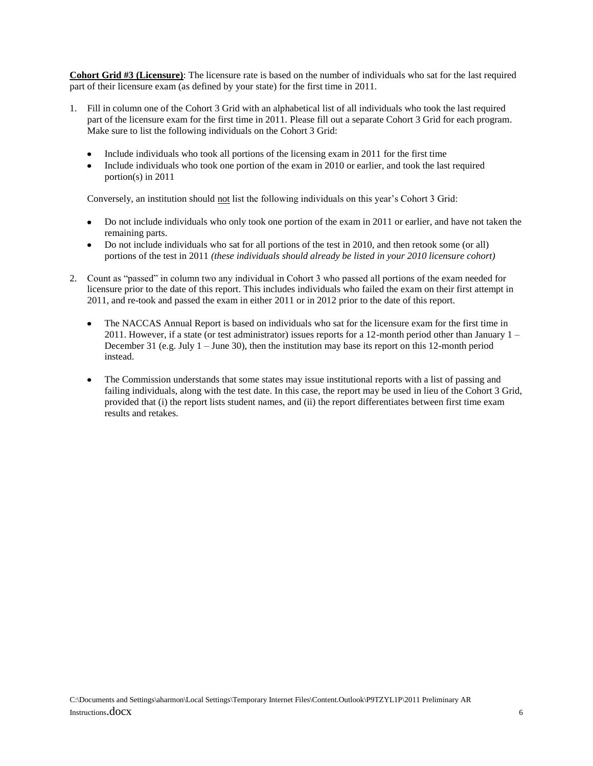**Cohort Grid #3 (Licensure)**: The licensure rate is based on the number of individuals who sat for the last required part of their licensure exam (as defined by your state) for the first time in 2011.

- 1. Fill in column one of the Cohort 3 Grid with an alphabetical list of all individuals who took the last required part of the licensure exam for the first time in 2011. Please fill out a separate Cohort 3 Grid for each program. Make sure to list the following individuals on the Cohort 3 Grid:
	- Include individuals who took all portions of the licensing exam in 2011 for the first time
	- Include individuals who took one portion of the exam in 2010 or earlier, and took the last required portion(s) in 2011

Conversely, an institution should not list the following individuals on this year's Cohort 3 Grid:

- Do not include individuals who only took one portion of the exam in 2011 or earlier, and have not taken the remaining parts.
- Do not include individuals who sat for all portions of the test in 2010, and then retook some (or all) portions of the test in 2011 *(these individuals should already be listed in your 2010 licensure cohort)*
- 2. Count as "passed" in column two any individual in Cohort 3 who passed all portions of the exam needed for licensure prior to the date of this report. This includes individuals who failed the exam on their first attempt in 2011, and re-took and passed the exam in either 2011 or in 2012 prior to the date of this report.
	- The NACCAS Annual Report is based on individuals who sat for the licensure exam for the first time in  $\bullet$ 2011. However, if a state (or test administrator) issues reports for a 12-month period other than January 1 – December 31 (e.g. July 1 – June 30), then the institution may base its report on this 12-month period instead.
	- The Commission understands that some states may issue institutional reports with a list of passing and failing individuals, along with the test date. In this case, the report may be used in lieu of the Cohort 3 Grid, provided that (i) the report lists student names, and (ii) the report differentiates between first time exam results and retakes.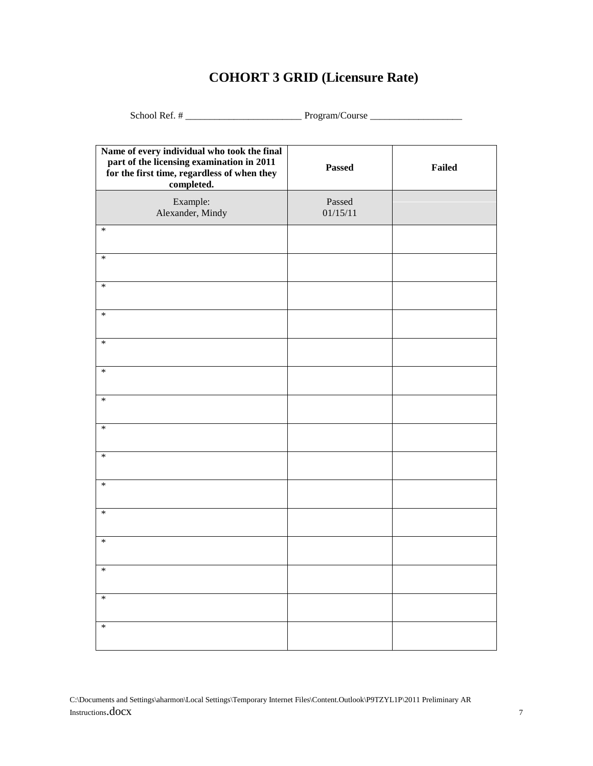# **COHORT 3 GRID (Licensure Rate)**

School Ref. # \_\_\_\_\_\_\_\_\_\_\_\_\_\_\_\_\_\_\_\_\_\_\_\_ Program/Course \_\_\_\_\_\_\_\_\_\_\_\_\_\_\_\_\_\_\_

| Name of every individual who took the final<br>part of the licensing examination in 2011<br>for the first time, regardless of when they<br>completed. | Passed             | Failed |
|-------------------------------------------------------------------------------------------------------------------------------------------------------|--------------------|--------|
| Example:<br>Alexander, Mindy                                                                                                                          | Passed<br>01/15/11 |        |
| $\ast$                                                                                                                                                |                    |        |
| $\ast$                                                                                                                                                |                    |        |
| $\ast$                                                                                                                                                |                    |        |
| $\ast$                                                                                                                                                |                    |        |
| $\ast$                                                                                                                                                |                    |        |
| $\ast$                                                                                                                                                |                    |        |
| $*$                                                                                                                                                   |                    |        |
| $\ast$                                                                                                                                                |                    |        |
| $\ast$                                                                                                                                                |                    |        |
| $\ast$                                                                                                                                                |                    |        |
| $\ast$                                                                                                                                                |                    |        |
| $\ast$                                                                                                                                                |                    |        |
| $\ast$                                                                                                                                                |                    |        |
| $\ast$                                                                                                                                                |                    |        |
| $\ast$                                                                                                                                                |                    |        |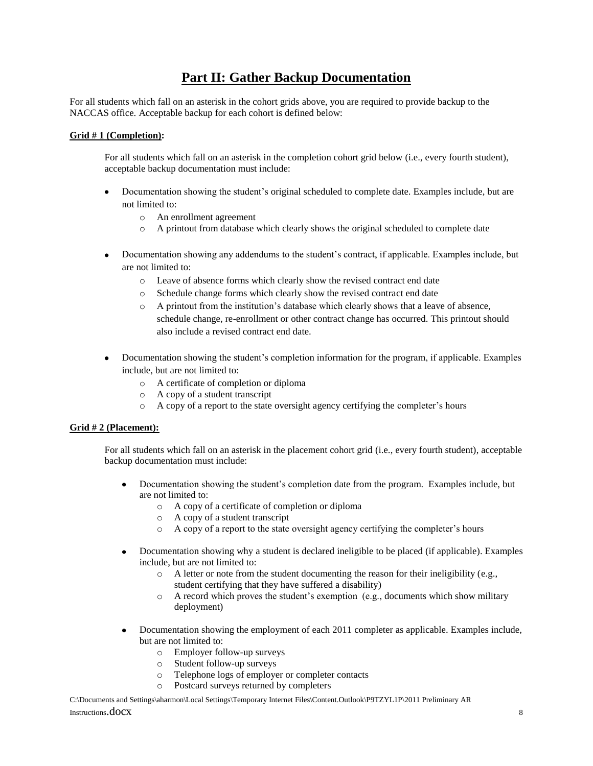### **Part II: Gather Backup Documentation**

For all students which fall on an asterisk in the cohort grids above, you are required to provide backup to the NACCAS office. Acceptable backup for each cohort is defined below:

### **Grid # 1 (Completion):**

For all students which fall on an asterisk in the completion cohort grid below (i.e., every fourth student), acceptable backup documentation must include:

- Documentation showing the student's original scheduled to complete date. Examples include, but are  $\bullet$ not limited to:
	- o An enrollment agreement
	- o A printout from database which clearly shows the original scheduled to complete date
- Documentation showing any addendums to the student's contract, if applicable. Examples include, but  $\bullet$ are not limited to:
	- o Leave of absence forms which clearly show the revised contract end date
	- o Schedule change forms which clearly show the revised contract end date
	- o A printout from the institution's database which clearly shows that a leave of absence, schedule change, re-enrollment or other contract change has occurred. This printout should also include a revised contract end date.
- Documentation showing the student's completion information for the program, if applicable. Examples  $\bullet$ include, but are not limited to:
	- o A certificate of completion or diploma
	- o A copy of a student transcript
	- o A copy of a report to the state oversight agency certifying the completer's hours

### **Grid # 2 (Placement):**

For all students which fall on an asterisk in the placement cohort grid (i.e., every fourth student), acceptable backup documentation must include:

- Documentation showing the student's completion date from the program. Examples include, but  $\bullet$ are not limited to:
	- o A copy of a certificate of completion or diploma
	- o A copy of a student transcript
	- o A copy of a report to the state oversight agency certifying the completer's hours
- Documentation showing why a student is declared ineligible to be placed (if applicable). Examples include, but are not limited to:
	- o A letter or note from the student documenting the reason for their ineligibility (e.g., student certifying that they have suffered a disability)
	- o A record which proves the student's exemption (e.g., documents which show military deployment)
- Documentation showing the employment of each 2011 completer as applicable. Examples include,  $\bullet$ but are not limited to:
	- o Employer follow-up surveys
	- o Student follow-up surveys
	- o Telephone logs of employer or completer contacts
	- o Postcard surveys returned by completers

C:\Documents and Settings\aharmon\Local Settings\Temporary Internet Files\Content.Outlook\P9TZYL1P\2011 Preliminary AR Instructions.docx <sup>8</sup>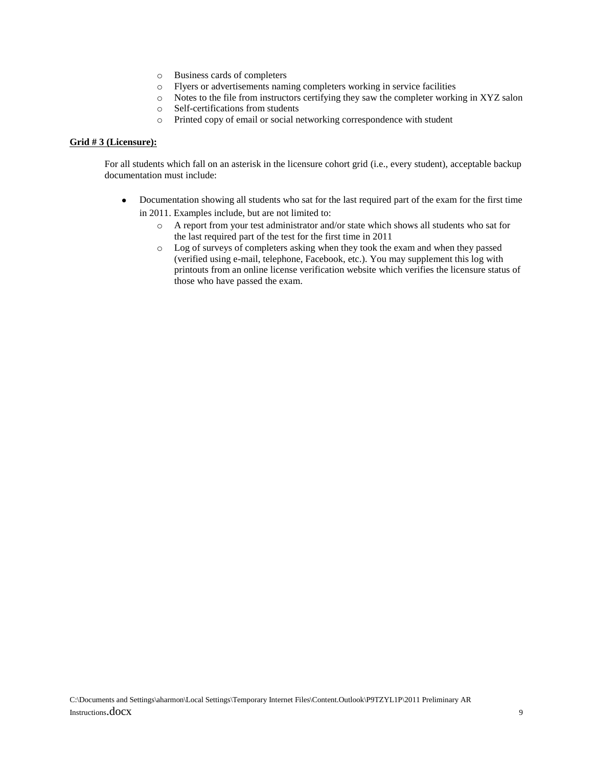- o Business cards of completers
- o Flyers or advertisements naming completers working in service facilities
- o Notes to the file from instructors certifying they saw the completer working in XYZ salon
- o Self-certifications from students
- o Printed copy of email or social networking correspondence with student

#### **Grid # 3 (Licensure):**

For all students which fall on an asterisk in the licensure cohort grid (i.e., every student), acceptable backup documentation must include:

- Documentation showing all students who sat for the last required part of the exam for the first time  $\bullet$ in 2011. Examples include, but are not limited to:
	- o A report from your test administrator and/or state which shows all students who sat for the last required part of the test for the first time in 2011
	- o Log of surveys of completers asking when they took the exam and when they passed (verified using e-mail, telephone, Facebook, etc.). You may supplement this log with printouts from an online license verification website which verifies the licensure status of those who have passed the exam.